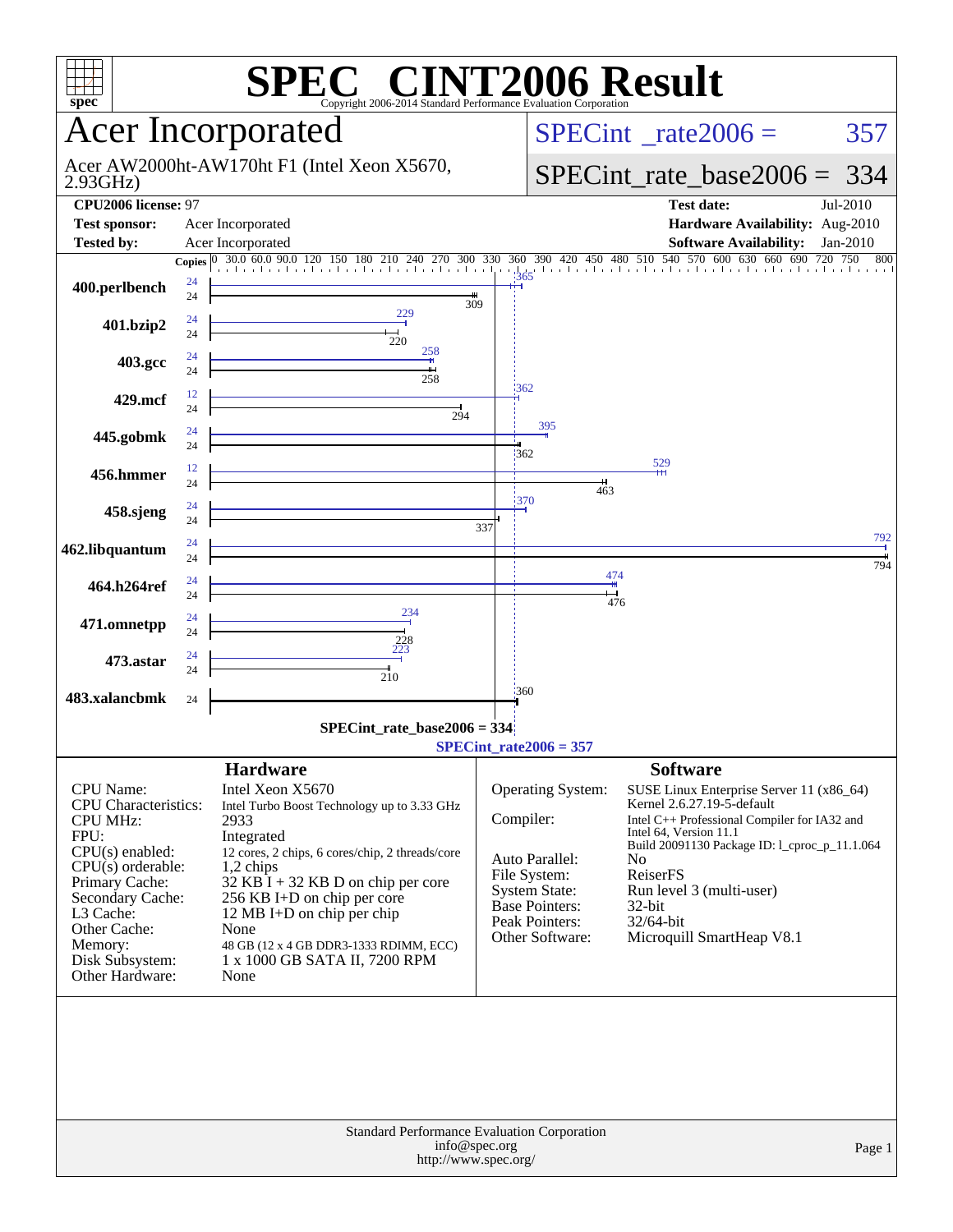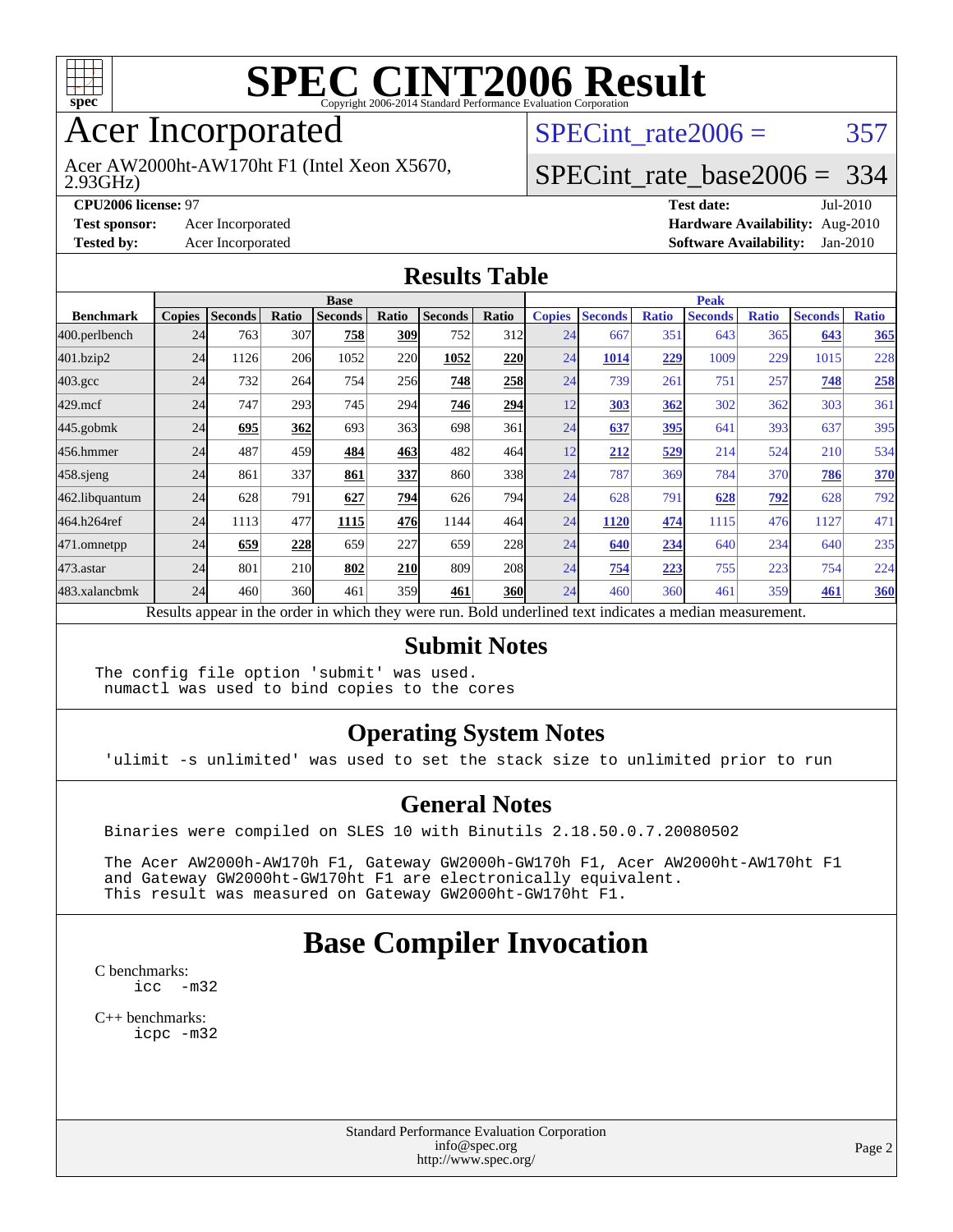

# Acer Incorporated

2.93GHz) Acer AW2000ht-AW170ht F1 (Intel Xeon X5670, SPECint rate $2006 = 357$ 

### [SPECint\\_rate\\_base2006 =](http://www.spec.org/auto/cpu2006/Docs/result-fields.html#SPECintratebase2006) 334

**[CPU2006 license:](http://www.spec.org/auto/cpu2006/Docs/result-fields.html#CPU2006license)** 97 **[Test date:](http://www.spec.org/auto/cpu2006/Docs/result-fields.html#Testdate)** Jul-2010 **[Test sponsor:](http://www.spec.org/auto/cpu2006/Docs/result-fields.html#Testsponsor)** Acer Incorporated **[Hardware Availability:](http://www.spec.org/auto/cpu2006/Docs/result-fields.html#HardwareAvailability)** Aug-2010 **[Tested by:](http://www.spec.org/auto/cpu2006/Docs/result-fields.html#Testedby)** Acer Incorporated **[Software Availability:](http://www.spec.org/auto/cpu2006/Docs/result-fields.html#SoftwareAvailability)** Jan-2010

#### **[Results Table](http://www.spec.org/auto/cpu2006/Docs/result-fields.html#ResultsTable)**

|                    | <b>Base</b>   |                |       |                                                                                                          |       |                |            | <b>Peak</b>   |                |              |                |              |                |              |
|--------------------|---------------|----------------|-------|----------------------------------------------------------------------------------------------------------|-------|----------------|------------|---------------|----------------|--------------|----------------|--------------|----------------|--------------|
| <b>Benchmark</b>   | <b>Copies</b> | <b>Seconds</b> | Ratio | <b>Seconds</b>                                                                                           | Ratio | <b>Seconds</b> | Ratio      | <b>Copies</b> | <b>Seconds</b> | <b>Ratio</b> | <b>Seconds</b> | <b>Ratio</b> | <b>Seconds</b> | <b>Ratio</b> |
| 400.perlbench      | 24            | 763            | 307   | 758                                                                                                      | 309   | 752            | 312        | 24            | 667            | 351          | 643            | 365          | 643            | 365          |
| 401.bzip2          | 24            | 1126           | 206   | 1052                                                                                                     | 220   | 1052           | <b>220</b> | 24            | 1014           | 229          | 1009           | 229          | 1015           | 228          |
| $403.\mathrm{gcc}$ | 24            | 732            | 264   | 754                                                                                                      | 256   | 748            | 258        | 24            | 739            | 261          | 751            | 257          | 748            | 258          |
| $429$ .mcf         | 24            | 747            | 293   | 745                                                                                                      | 294   | 746            | 294        | 12            | 303            | 362          | 302            | 362          | 303            | 361          |
| $445$ .gobmk       | 24            | 695            | 362   | 693                                                                                                      | 363   | 698            | 361        | 24            | 637            | 395          | 641            | 393          | 637            | 395          |
| 456.hmmer          | 24            | 487            | 459   | 484                                                                                                      | 463   | 482            | 464        | 12            | 212            | 529          | 214            | 524          | 210            | 534          |
| $458$ .sjeng       | 24            | 861            | 337   | 861                                                                                                      | 337   | 860            | 338        | 24            | 787            | 369          | 784            | 370          | 786            | 370          |
| 462.libquantum     | 24            | 628            | 791   | 627                                                                                                      | 794   | 626            | <b>794</b> | 24            | 628            | 791          | 628            | 792          | 628            | 792          |
| 464.h264ref        | 24            | 1113           | 477   | 1115                                                                                                     | 476   | 1144           | 464        | 24            | 1120           | 474          | 1115           | 476          | 1127           | 471          |
| 471.omnetpp        | 24            | 659            | 228   | 659                                                                                                      | 227   | 659            | 228        | 24            | 640            | 234          | 640            | 234          | 640            | 235          |
| $473$ . astar      | 24            | 801            | 210   | 802                                                                                                      | 210   | 809            | <b>208</b> | 24            | 754            | 223          | 755            | 223          | 754            | 224          |
| 483.xalancbmk      | 24            | 460            | 360   | 461                                                                                                      | 359   | 461            | <b>360</b> | 24            | 460            | 360          | 461            | 359          | 461            | <b>360</b>   |
|                    |               |                |       | Results appear in the order in which they were run. Bold underlined text indicates a median measurement. |       |                |            |               |                |              |                |              |                |              |

#### **[Submit Notes](http://www.spec.org/auto/cpu2006/Docs/result-fields.html#SubmitNotes)**

The config file option 'submit' was used. numactl was used to bind copies to the cores

#### **[Operating System Notes](http://www.spec.org/auto/cpu2006/Docs/result-fields.html#OperatingSystemNotes)**

'ulimit -s unlimited' was used to set the stack size to unlimited prior to run

#### **[General Notes](http://www.spec.org/auto/cpu2006/Docs/result-fields.html#GeneralNotes)**

Binaries were compiled on SLES 10 with Binutils 2.18.50.0.7.20080502

 The Acer AW2000h-AW170h F1, Gateway GW2000h-GW170h F1, Acer AW2000ht-AW170ht F1 and Gateway GW2000ht-GW170ht F1 are electronically equivalent. This result was measured on Gateway GW2000ht-GW170ht F1.

## **[Base Compiler Invocation](http://www.spec.org/auto/cpu2006/Docs/result-fields.html#BaseCompilerInvocation)**

[C benchmarks](http://www.spec.org/auto/cpu2006/Docs/result-fields.html#Cbenchmarks): [icc -m32](http://www.spec.org/cpu2006/results/res2010q3/cpu2006-20100802-12827.flags.html#user_CCbase_intel_icc_32bit_5ff4a39e364c98233615fdd38438c6f2)

[C++ benchmarks:](http://www.spec.org/auto/cpu2006/Docs/result-fields.html#CXXbenchmarks) [icpc -m32](http://www.spec.org/cpu2006/results/res2010q3/cpu2006-20100802-12827.flags.html#user_CXXbase_intel_icpc_32bit_4e5a5ef1a53fd332b3c49e69c3330699)

> Standard Performance Evaluation Corporation [info@spec.org](mailto:info@spec.org) <http://www.spec.org/>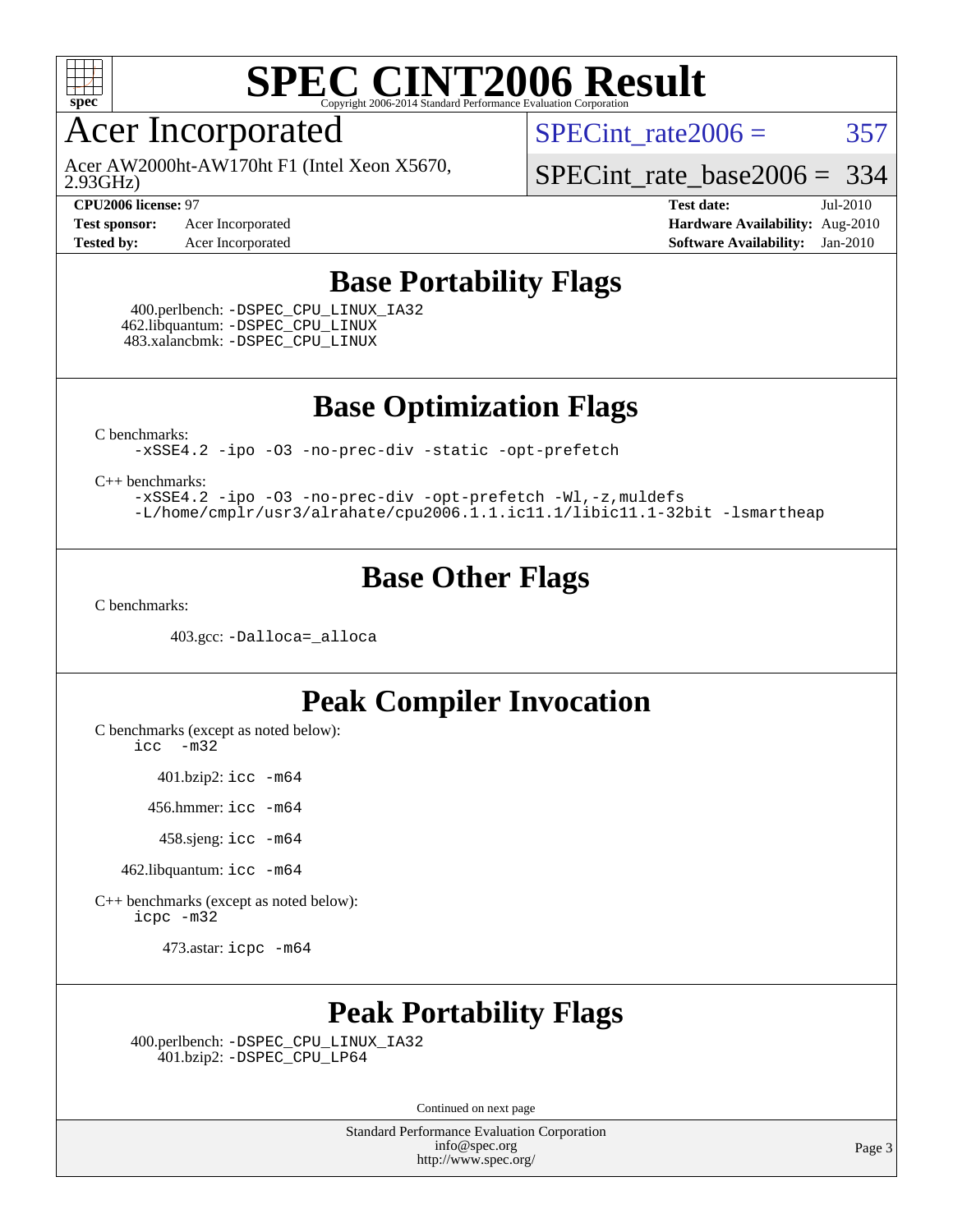

# Acer Incorporated

2.93GHz) Acer AW2000ht-AW170ht F1 (Intel Xeon X5670, SPECint rate $2006 = 357$ 

[SPECint\\_rate\\_base2006 =](http://www.spec.org/auto/cpu2006/Docs/result-fields.html#SPECintratebase2006) 334

**[CPU2006 license:](http://www.spec.org/auto/cpu2006/Docs/result-fields.html#CPU2006license)** 97 **[Test date:](http://www.spec.org/auto/cpu2006/Docs/result-fields.html#Testdate)** Jul-2010 **[Test sponsor:](http://www.spec.org/auto/cpu2006/Docs/result-fields.html#Testsponsor)** Acer Incorporated **[Hardware Availability:](http://www.spec.org/auto/cpu2006/Docs/result-fields.html#HardwareAvailability)** Aug-2010 **[Tested by:](http://www.spec.org/auto/cpu2006/Docs/result-fields.html#Testedby)** Acer Incorporated **[Software Availability:](http://www.spec.org/auto/cpu2006/Docs/result-fields.html#SoftwareAvailability)** Jan-2010

### **[Base Portability Flags](http://www.spec.org/auto/cpu2006/Docs/result-fields.html#BasePortabilityFlags)**

 400.perlbench: [-DSPEC\\_CPU\\_LINUX\\_IA32](http://www.spec.org/cpu2006/results/res2010q3/cpu2006-20100802-12827.flags.html#b400.perlbench_baseCPORTABILITY_DSPEC_CPU_LINUX_IA32) 462.libquantum: [-DSPEC\\_CPU\\_LINUX](http://www.spec.org/cpu2006/results/res2010q3/cpu2006-20100802-12827.flags.html#b462.libquantum_baseCPORTABILITY_DSPEC_CPU_LINUX) 483.xalancbmk: [-DSPEC\\_CPU\\_LINUX](http://www.spec.org/cpu2006/results/res2010q3/cpu2006-20100802-12827.flags.html#b483.xalancbmk_baseCXXPORTABILITY_DSPEC_CPU_LINUX)

**[Base Optimization Flags](http://www.spec.org/auto/cpu2006/Docs/result-fields.html#BaseOptimizationFlags)**

[C benchmarks](http://www.spec.org/auto/cpu2006/Docs/result-fields.html#Cbenchmarks):

[-xSSE4.2](http://www.spec.org/cpu2006/results/res2010q3/cpu2006-20100802-12827.flags.html#user_CCbase_f-xSSE42_f91528193cf0b216347adb8b939d4107) [-ipo](http://www.spec.org/cpu2006/results/res2010q3/cpu2006-20100802-12827.flags.html#user_CCbase_f-ipo) [-O3](http://www.spec.org/cpu2006/results/res2010q3/cpu2006-20100802-12827.flags.html#user_CCbase_f-O3) [-no-prec-div](http://www.spec.org/cpu2006/results/res2010q3/cpu2006-20100802-12827.flags.html#user_CCbase_f-no-prec-div) [-static](http://www.spec.org/cpu2006/results/res2010q3/cpu2006-20100802-12827.flags.html#user_CCbase_f-static) [-opt-prefetch](http://www.spec.org/cpu2006/results/res2010q3/cpu2006-20100802-12827.flags.html#user_CCbase_f-opt-prefetch)

[C++ benchmarks:](http://www.spec.org/auto/cpu2006/Docs/result-fields.html#CXXbenchmarks)

[-xSSE4.2](http://www.spec.org/cpu2006/results/res2010q3/cpu2006-20100802-12827.flags.html#user_CXXbase_f-xSSE42_f91528193cf0b216347adb8b939d4107) [-ipo](http://www.spec.org/cpu2006/results/res2010q3/cpu2006-20100802-12827.flags.html#user_CXXbase_f-ipo) [-O3](http://www.spec.org/cpu2006/results/res2010q3/cpu2006-20100802-12827.flags.html#user_CXXbase_f-O3) [-no-prec-div](http://www.spec.org/cpu2006/results/res2010q3/cpu2006-20100802-12827.flags.html#user_CXXbase_f-no-prec-div) [-opt-prefetch](http://www.spec.org/cpu2006/results/res2010q3/cpu2006-20100802-12827.flags.html#user_CXXbase_f-opt-prefetch) [-Wl,-z,muldefs](http://www.spec.org/cpu2006/results/res2010q3/cpu2006-20100802-12827.flags.html#user_CXXbase_link_force_multiple1_74079c344b956b9658436fd1b6dd3a8a) [-L/home/cmplr/usr3/alrahate/cpu2006.1.1.ic11.1/libic11.1-32bit -lsmartheap](http://www.spec.org/cpu2006/results/res2010q3/cpu2006-20100802-12827.flags.html#user_CXXbase_SmartHeap_d86dffe4a79b79ef8890d5cce17030c3)

### **[Base Other Flags](http://www.spec.org/auto/cpu2006/Docs/result-fields.html#BaseOtherFlags)**

[C benchmarks](http://www.spec.org/auto/cpu2006/Docs/result-fields.html#Cbenchmarks):

403.gcc: [-Dalloca=\\_alloca](http://www.spec.org/cpu2006/results/res2010q3/cpu2006-20100802-12827.flags.html#b403.gcc_baseEXTRA_CFLAGS_Dalloca_be3056838c12de2578596ca5467af7f3)

### **[Peak Compiler Invocation](http://www.spec.org/auto/cpu2006/Docs/result-fields.html#PeakCompilerInvocation)**

[C benchmarks \(except as noted below\)](http://www.spec.org/auto/cpu2006/Docs/result-fields.html#Cbenchmarksexceptasnotedbelow):

[icc -m32](http://www.spec.org/cpu2006/results/res2010q3/cpu2006-20100802-12827.flags.html#user_CCpeak_intel_icc_32bit_5ff4a39e364c98233615fdd38438c6f2)

401.bzip2: [icc -m64](http://www.spec.org/cpu2006/results/res2010q3/cpu2006-20100802-12827.flags.html#user_peakCCLD401_bzip2_intel_icc_64bit_bda6cc9af1fdbb0edc3795bac97ada53)

456.hmmer: [icc -m64](http://www.spec.org/cpu2006/results/res2010q3/cpu2006-20100802-12827.flags.html#user_peakCCLD456_hmmer_intel_icc_64bit_bda6cc9af1fdbb0edc3795bac97ada53)

458.sjeng: [icc -m64](http://www.spec.org/cpu2006/results/res2010q3/cpu2006-20100802-12827.flags.html#user_peakCCLD458_sjeng_intel_icc_64bit_bda6cc9af1fdbb0edc3795bac97ada53)

462.libquantum: [icc -m64](http://www.spec.org/cpu2006/results/res2010q3/cpu2006-20100802-12827.flags.html#user_peakCCLD462_libquantum_intel_icc_64bit_bda6cc9af1fdbb0edc3795bac97ada53)

[C++ benchmarks \(except as noted below\):](http://www.spec.org/auto/cpu2006/Docs/result-fields.html#CXXbenchmarksexceptasnotedbelow) [icpc -m32](http://www.spec.org/cpu2006/results/res2010q3/cpu2006-20100802-12827.flags.html#user_CXXpeak_intel_icpc_32bit_4e5a5ef1a53fd332b3c49e69c3330699)

473.astar: [icpc -m64](http://www.spec.org/cpu2006/results/res2010q3/cpu2006-20100802-12827.flags.html#user_peakCXXLD473_astar_intel_icpc_64bit_fc66a5337ce925472a5c54ad6a0de310)

## **[Peak Portability Flags](http://www.spec.org/auto/cpu2006/Docs/result-fields.html#PeakPortabilityFlags)**

 400.perlbench: [-DSPEC\\_CPU\\_LINUX\\_IA32](http://www.spec.org/cpu2006/results/res2010q3/cpu2006-20100802-12827.flags.html#b400.perlbench_peakCPORTABILITY_DSPEC_CPU_LINUX_IA32) 401.bzip2: [-DSPEC\\_CPU\\_LP64](http://www.spec.org/cpu2006/results/res2010q3/cpu2006-20100802-12827.flags.html#suite_peakCPORTABILITY401_bzip2_DSPEC_CPU_LP64)

Continued on next page

Standard Performance Evaluation Corporation [info@spec.org](mailto:info@spec.org) <http://www.spec.org/>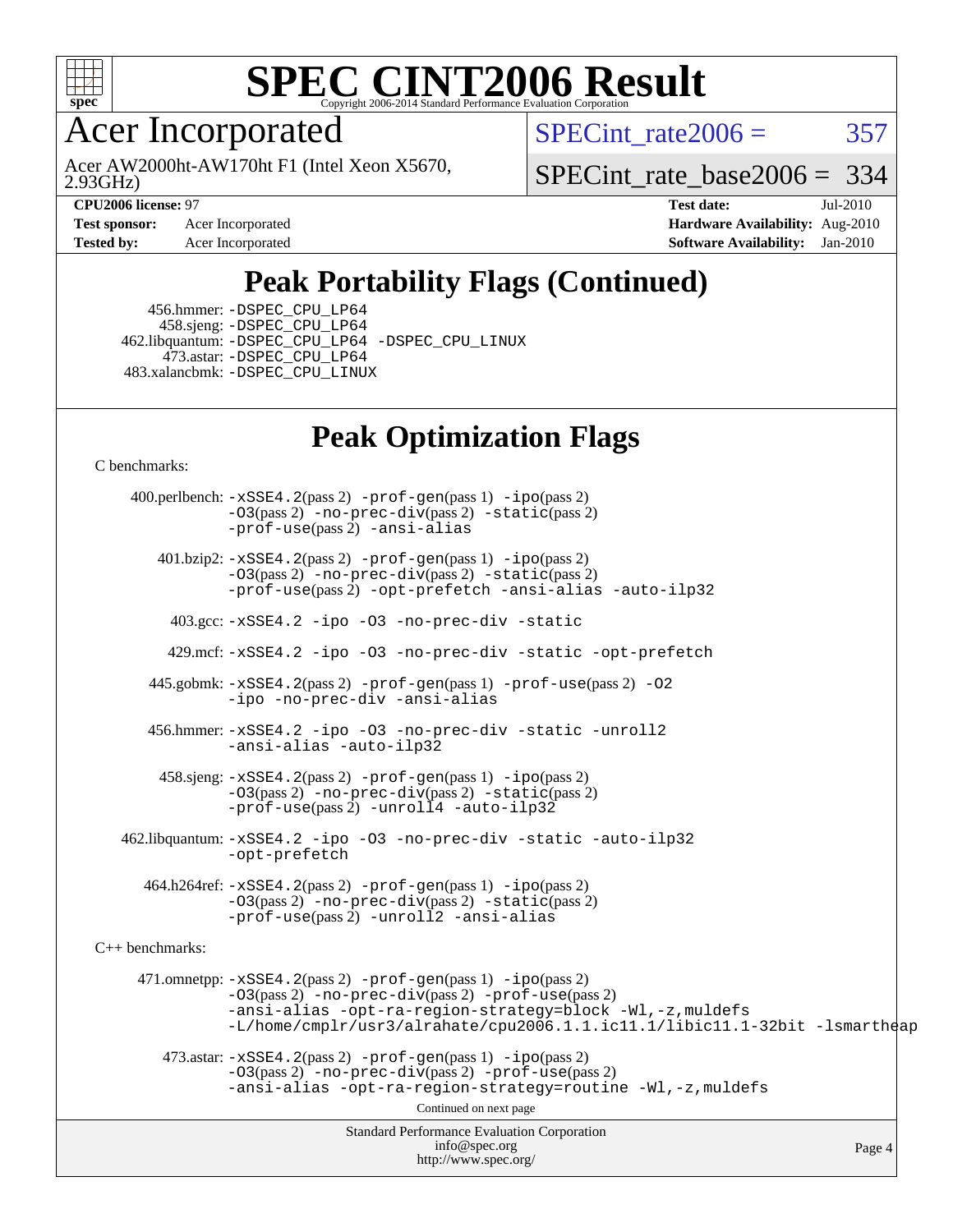

Acer Incorporated

2.93GHz) Acer AW2000ht-AW170ht F1 (Intel Xeon X5670, SPECint rate $2006 = 357$ 

[SPECint\\_rate\\_base2006 =](http://www.spec.org/auto/cpu2006/Docs/result-fields.html#SPECintratebase2006) 334

**[Test sponsor:](http://www.spec.org/auto/cpu2006/Docs/result-fields.html#Testsponsor)** Acer Incorporated **[Hardware Availability:](http://www.spec.org/auto/cpu2006/Docs/result-fields.html#HardwareAvailability)** Aug-2010

**[CPU2006 license:](http://www.spec.org/auto/cpu2006/Docs/result-fields.html#CPU2006license)** 97 **[Test date:](http://www.spec.org/auto/cpu2006/Docs/result-fields.html#Testdate)** Jul-2010 **[Tested by:](http://www.spec.org/auto/cpu2006/Docs/result-fields.html#Testedby)** Acer Incorporated **[Software Availability:](http://www.spec.org/auto/cpu2006/Docs/result-fields.html#SoftwareAvailability)** Jan-2010

# **[Peak Portability Flags \(Continued\)](http://www.spec.org/auto/cpu2006/Docs/result-fields.html#PeakPortabilityFlags)**

 456.hmmer: [-DSPEC\\_CPU\\_LP64](http://www.spec.org/cpu2006/results/res2010q3/cpu2006-20100802-12827.flags.html#suite_peakCPORTABILITY456_hmmer_DSPEC_CPU_LP64) 458.sjeng: [-DSPEC\\_CPU\\_LP64](http://www.spec.org/cpu2006/results/res2010q3/cpu2006-20100802-12827.flags.html#suite_peakCPORTABILITY458_sjeng_DSPEC_CPU_LP64) 462.libquantum: [-DSPEC\\_CPU\\_LP64](http://www.spec.org/cpu2006/results/res2010q3/cpu2006-20100802-12827.flags.html#suite_peakCPORTABILITY462_libquantum_DSPEC_CPU_LP64) [-DSPEC\\_CPU\\_LINUX](http://www.spec.org/cpu2006/results/res2010q3/cpu2006-20100802-12827.flags.html#b462.libquantum_peakCPORTABILITY_DSPEC_CPU_LINUX) 473.astar: [-DSPEC\\_CPU\\_LP64](http://www.spec.org/cpu2006/results/res2010q3/cpu2006-20100802-12827.flags.html#suite_peakCXXPORTABILITY473_astar_DSPEC_CPU_LP64) 483.xalancbmk: [-DSPEC\\_CPU\\_LINUX](http://www.spec.org/cpu2006/results/res2010q3/cpu2006-20100802-12827.flags.html#b483.xalancbmk_peakCXXPORTABILITY_DSPEC_CPU_LINUX)

# **[Peak Optimization Flags](http://www.spec.org/auto/cpu2006/Docs/result-fields.html#PeakOptimizationFlags)**

[C benchmarks](http://www.spec.org/auto/cpu2006/Docs/result-fields.html#Cbenchmarks):

Standard Performance Evaluation Corporation [info@spec.org](mailto:info@spec.org) <http://www.spec.org/> Page 4 400.perlbench: [-xSSE4.2](http://www.spec.org/cpu2006/results/res2010q3/cpu2006-20100802-12827.flags.html#user_peakPASS2_CFLAGSPASS2_LDCFLAGS400_perlbench_f-xSSE42_f91528193cf0b216347adb8b939d4107)(pass 2) [-prof-gen](http://www.spec.org/cpu2006/results/res2010q3/cpu2006-20100802-12827.flags.html#user_peakPASS1_CFLAGSPASS1_LDCFLAGS400_perlbench_prof_gen_e43856698f6ca7b7e442dfd80e94a8fc)(pass 1) [-ipo](http://www.spec.org/cpu2006/results/res2010q3/cpu2006-20100802-12827.flags.html#user_peakPASS2_CFLAGSPASS2_LDCFLAGS400_perlbench_f-ipo)(pass 2) [-O3](http://www.spec.org/cpu2006/results/res2010q3/cpu2006-20100802-12827.flags.html#user_peakPASS2_CFLAGSPASS2_LDCFLAGS400_perlbench_f-O3)(pass 2) [-no-prec-div](http://www.spec.org/cpu2006/results/res2010q3/cpu2006-20100802-12827.flags.html#user_peakPASS2_CFLAGSPASS2_LDCFLAGS400_perlbench_f-no-prec-div)(pass 2) [-static](http://www.spec.org/cpu2006/results/res2010q3/cpu2006-20100802-12827.flags.html#user_peakPASS2_CFLAGSPASS2_LDCFLAGS400_perlbench_f-static)(pass 2) [-prof-use](http://www.spec.org/cpu2006/results/res2010q3/cpu2006-20100802-12827.flags.html#user_peakPASS2_CFLAGSPASS2_LDCFLAGS400_perlbench_prof_use_bccf7792157ff70d64e32fe3e1250b55)(pass 2) [-ansi-alias](http://www.spec.org/cpu2006/results/res2010q3/cpu2006-20100802-12827.flags.html#user_peakCOPTIMIZE400_perlbench_f-ansi-alias) 401.bzip2: [-xSSE4.2](http://www.spec.org/cpu2006/results/res2010q3/cpu2006-20100802-12827.flags.html#user_peakPASS2_CFLAGSPASS2_LDCFLAGS401_bzip2_f-xSSE42_f91528193cf0b216347adb8b939d4107)(pass 2) [-prof-gen](http://www.spec.org/cpu2006/results/res2010q3/cpu2006-20100802-12827.flags.html#user_peakPASS1_CFLAGSPASS1_LDCFLAGS401_bzip2_prof_gen_e43856698f6ca7b7e442dfd80e94a8fc)(pass 1) [-ipo](http://www.spec.org/cpu2006/results/res2010q3/cpu2006-20100802-12827.flags.html#user_peakPASS2_CFLAGSPASS2_LDCFLAGS401_bzip2_f-ipo)(pass 2) [-O3](http://www.spec.org/cpu2006/results/res2010q3/cpu2006-20100802-12827.flags.html#user_peakPASS2_CFLAGSPASS2_LDCFLAGS401_bzip2_f-O3)(pass 2) [-no-prec-div](http://www.spec.org/cpu2006/results/res2010q3/cpu2006-20100802-12827.flags.html#user_peakPASS2_CFLAGSPASS2_LDCFLAGS401_bzip2_f-no-prec-div)(pass 2) [-static](http://www.spec.org/cpu2006/results/res2010q3/cpu2006-20100802-12827.flags.html#user_peakPASS2_CFLAGSPASS2_LDCFLAGS401_bzip2_f-static)(pass 2) [-prof-use](http://www.spec.org/cpu2006/results/res2010q3/cpu2006-20100802-12827.flags.html#user_peakPASS2_CFLAGSPASS2_LDCFLAGS401_bzip2_prof_use_bccf7792157ff70d64e32fe3e1250b55)(pass 2) [-opt-prefetch](http://www.spec.org/cpu2006/results/res2010q3/cpu2006-20100802-12827.flags.html#user_peakCOPTIMIZE401_bzip2_f-opt-prefetch) [-ansi-alias](http://www.spec.org/cpu2006/results/res2010q3/cpu2006-20100802-12827.flags.html#user_peakCOPTIMIZE401_bzip2_f-ansi-alias) [-auto-ilp32](http://www.spec.org/cpu2006/results/res2010q3/cpu2006-20100802-12827.flags.html#user_peakCOPTIMIZE401_bzip2_f-auto-ilp32) 403.gcc: [-xSSE4.2](http://www.spec.org/cpu2006/results/res2010q3/cpu2006-20100802-12827.flags.html#user_peakCOPTIMIZE403_gcc_f-xSSE42_f91528193cf0b216347adb8b939d4107) [-ipo](http://www.spec.org/cpu2006/results/res2010q3/cpu2006-20100802-12827.flags.html#user_peakCOPTIMIZE403_gcc_f-ipo) [-O3](http://www.spec.org/cpu2006/results/res2010q3/cpu2006-20100802-12827.flags.html#user_peakCOPTIMIZE403_gcc_f-O3) [-no-prec-div](http://www.spec.org/cpu2006/results/res2010q3/cpu2006-20100802-12827.flags.html#user_peakCOPTIMIZE403_gcc_f-no-prec-div) [-static](http://www.spec.org/cpu2006/results/res2010q3/cpu2006-20100802-12827.flags.html#user_peakCOPTIMIZE403_gcc_f-static) 429.mcf: [-xSSE4.2](http://www.spec.org/cpu2006/results/res2010q3/cpu2006-20100802-12827.flags.html#user_peakCOPTIMIZE429_mcf_f-xSSE42_f91528193cf0b216347adb8b939d4107) [-ipo](http://www.spec.org/cpu2006/results/res2010q3/cpu2006-20100802-12827.flags.html#user_peakCOPTIMIZE429_mcf_f-ipo) [-O3](http://www.spec.org/cpu2006/results/res2010q3/cpu2006-20100802-12827.flags.html#user_peakCOPTIMIZE429_mcf_f-O3) [-no-prec-div](http://www.spec.org/cpu2006/results/res2010q3/cpu2006-20100802-12827.flags.html#user_peakCOPTIMIZE429_mcf_f-no-prec-div) [-static](http://www.spec.org/cpu2006/results/res2010q3/cpu2006-20100802-12827.flags.html#user_peakCOPTIMIZE429_mcf_f-static) [-opt-prefetch](http://www.spec.org/cpu2006/results/res2010q3/cpu2006-20100802-12827.flags.html#user_peakCOPTIMIZE429_mcf_f-opt-prefetch) 445.gobmk: [-xSSE4.2](http://www.spec.org/cpu2006/results/res2010q3/cpu2006-20100802-12827.flags.html#user_peakPASS2_CFLAGSPASS2_LDCFLAGS445_gobmk_f-xSSE42_f91528193cf0b216347adb8b939d4107)(pass 2) [-prof-gen](http://www.spec.org/cpu2006/results/res2010q3/cpu2006-20100802-12827.flags.html#user_peakPASS1_CFLAGSPASS1_LDCFLAGS445_gobmk_prof_gen_e43856698f6ca7b7e442dfd80e94a8fc)(pass 1) [-prof-use](http://www.spec.org/cpu2006/results/res2010q3/cpu2006-20100802-12827.flags.html#user_peakPASS2_CFLAGSPASS2_LDCFLAGS445_gobmk_prof_use_bccf7792157ff70d64e32fe3e1250b55)(pass 2) [-O2](http://www.spec.org/cpu2006/results/res2010q3/cpu2006-20100802-12827.flags.html#user_peakCOPTIMIZE445_gobmk_f-O2) [-ipo](http://www.spec.org/cpu2006/results/res2010q3/cpu2006-20100802-12827.flags.html#user_peakCOPTIMIZE445_gobmk_f-ipo) [-no-prec-div](http://www.spec.org/cpu2006/results/res2010q3/cpu2006-20100802-12827.flags.html#user_peakCOPTIMIZE445_gobmk_f-no-prec-div) [-ansi-alias](http://www.spec.org/cpu2006/results/res2010q3/cpu2006-20100802-12827.flags.html#user_peakCOPTIMIZE445_gobmk_f-ansi-alias) 456.hmmer: [-xSSE4.2](http://www.spec.org/cpu2006/results/res2010q3/cpu2006-20100802-12827.flags.html#user_peakCOPTIMIZE456_hmmer_f-xSSE42_f91528193cf0b216347adb8b939d4107) [-ipo](http://www.spec.org/cpu2006/results/res2010q3/cpu2006-20100802-12827.flags.html#user_peakCOPTIMIZE456_hmmer_f-ipo) [-O3](http://www.spec.org/cpu2006/results/res2010q3/cpu2006-20100802-12827.flags.html#user_peakCOPTIMIZE456_hmmer_f-O3) [-no-prec-div](http://www.spec.org/cpu2006/results/res2010q3/cpu2006-20100802-12827.flags.html#user_peakCOPTIMIZE456_hmmer_f-no-prec-div) [-static](http://www.spec.org/cpu2006/results/res2010q3/cpu2006-20100802-12827.flags.html#user_peakCOPTIMIZE456_hmmer_f-static) [-unroll2](http://www.spec.org/cpu2006/results/res2010q3/cpu2006-20100802-12827.flags.html#user_peakCOPTIMIZE456_hmmer_f-unroll_784dae83bebfb236979b41d2422d7ec2) [-ansi-alias](http://www.spec.org/cpu2006/results/res2010q3/cpu2006-20100802-12827.flags.html#user_peakCOPTIMIZE456_hmmer_f-ansi-alias) [-auto-ilp32](http://www.spec.org/cpu2006/results/res2010q3/cpu2006-20100802-12827.flags.html#user_peakCOPTIMIZE456_hmmer_f-auto-ilp32) 458.sjeng: [-xSSE4.2](http://www.spec.org/cpu2006/results/res2010q3/cpu2006-20100802-12827.flags.html#user_peakPASS2_CFLAGSPASS2_LDCFLAGS458_sjeng_f-xSSE42_f91528193cf0b216347adb8b939d4107)(pass 2) [-prof-gen](http://www.spec.org/cpu2006/results/res2010q3/cpu2006-20100802-12827.flags.html#user_peakPASS1_CFLAGSPASS1_LDCFLAGS458_sjeng_prof_gen_e43856698f6ca7b7e442dfd80e94a8fc)(pass 1) [-ipo](http://www.spec.org/cpu2006/results/res2010q3/cpu2006-20100802-12827.flags.html#user_peakPASS2_CFLAGSPASS2_LDCFLAGS458_sjeng_f-ipo)(pass 2) [-O3](http://www.spec.org/cpu2006/results/res2010q3/cpu2006-20100802-12827.flags.html#user_peakPASS2_CFLAGSPASS2_LDCFLAGS458_sjeng_f-O3)(pass 2) [-no-prec-div](http://www.spec.org/cpu2006/results/res2010q3/cpu2006-20100802-12827.flags.html#user_peakPASS2_CFLAGSPASS2_LDCFLAGS458_sjeng_f-no-prec-div)(pass 2) [-static](http://www.spec.org/cpu2006/results/res2010q3/cpu2006-20100802-12827.flags.html#user_peakPASS2_CFLAGSPASS2_LDCFLAGS458_sjeng_f-static)(pass 2) [-prof-use](http://www.spec.org/cpu2006/results/res2010q3/cpu2006-20100802-12827.flags.html#user_peakPASS2_CFLAGSPASS2_LDCFLAGS458_sjeng_prof_use_bccf7792157ff70d64e32fe3e1250b55)(pass 2) [-unroll4](http://www.spec.org/cpu2006/results/res2010q3/cpu2006-20100802-12827.flags.html#user_peakCOPTIMIZE458_sjeng_f-unroll_4e5e4ed65b7fd20bdcd365bec371b81f) [-auto-ilp32](http://www.spec.org/cpu2006/results/res2010q3/cpu2006-20100802-12827.flags.html#user_peakCOPTIMIZE458_sjeng_f-auto-ilp32) 462.libquantum: [-xSSE4.2](http://www.spec.org/cpu2006/results/res2010q3/cpu2006-20100802-12827.flags.html#user_peakCOPTIMIZE462_libquantum_f-xSSE42_f91528193cf0b216347adb8b939d4107) [-ipo](http://www.spec.org/cpu2006/results/res2010q3/cpu2006-20100802-12827.flags.html#user_peakCOPTIMIZE462_libquantum_f-ipo) [-O3](http://www.spec.org/cpu2006/results/res2010q3/cpu2006-20100802-12827.flags.html#user_peakCOPTIMIZE462_libquantum_f-O3) [-no-prec-div](http://www.spec.org/cpu2006/results/res2010q3/cpu2006-20100802-12827.flags.html#user_peakCOPTIMIZE462_libquantum_f-no-prec-div) [-static](http://www.spec.org/cpu2006/results/res2010q3/cpu2006-20100802-12827.flags.html#user_peakCOPTIMIZE462_libquantum_f-static) [-auto-ilp32](http://www.spec.org/cpu2006/results/res2010q3/cpu2006-20100802-12827.flags.html#user_peakCOPTIMIZE462_libquantum_f-auto-ilp32) [-opt-prefetch](http://www.spec.org/cpu2006/results/res2010q3/cpu2006-20100802-12827.flags.html#user_peakCOPTIMIZE462_libquantum_f-opt-prefetch) 464.h264ref: [-xSSE4.2](http://www.spec.org/cpu2006/results/res2010q3/cpu2006-20100802-12827.flags.html#user_peakPASS2_CFLAGSPASS2_LDCFLAGS464_h264ref_f-xSSE42_f91528193cf0b216347adb8b939d4107)(pass 2) [-prof-gen](http://www.spec.org/cpu2006/results/res2010q3/cpu2006-20100802-12827.flags.html#user_peakPASS1_CFLAGSPASS1_LDCFLAGS464_h264ref_prof_gen_e43856698f6ca7b7e442dfd80e94a8fc)(pass 1) [-ipo](http://www.spec.org/cpu2006/results/res2010q3/cpu2006-20100802-12827.flags.html#user_peakPASS2_CFLAGSPASS2_LDCFLAGS464_h264ref_f-ipo)(pass 2) [-O3](http://www.spec.org/cpu2006/results/res2010q3/cpu2006-20100802-12827.flags.html#user_peakPASS2_CFLAGSPASS2_LDCFLAGS464_h264ref_f-O3)(pass 2) [-no-prec-div](http://www.spec.org/cpu2006/results/res2010q3/cpu2006-20100802-12827.flags.html#user_peakPASS2_CFLAGSPASS2_LDCFLAGS464_h264ref_f-no-prec-div)(pass 2) [-static](http://www.spec.org/cpu2006/results/res2010q3/cpu2006-20100802-12827.flags.html#user_peakPASS2_CFLAGSPASS2_LDCFLAGS464_h264ref_f-static)(pass 2) [-prof-use](http://www.spec.org/cpu2006/results/res2010q3/cpu2006-20100802-12827.flags.html#user_peakPASS2_CFLAGSPASS2_LDCFLAGS464_h264ref_prof_use_bccf7792157ff70d64e32fe3e1250b55)(pass 2) [-unroll2](http://www.spec.org/cpu2006/results/res2010q3/cpu2006-20100802-12827.flags.html#user_peakCOPTIMIZE464_h264ref_f-unroll_784dae83bebfb236979b41d2422d7ec2) [-ansi-alias](http://www.spec.org/cpu2006/results/res2010q3/cpu2006-20100802-12827.flags.html#user_peakCOPTIMIZE464_h264ref_f-ansi-alias) [C++ benchmarks:](http://www.spec.org/auto/cpu2006/Docs/result-fields.html#CXXbenchmarks) 471.omnetpp: [-xSSE4.2](http://www.spec.org/cpu2006/results/res2010q3/cpu2006-20100802-12827.flags.html#user_peakPASS2_CXXFLAGSPASS2_LDCXXFLAGS471_omnetpp_f-xSSE42_f91528193cf0b216347adb8b939d4107)(pass 2) [-prof-gen](http://www.spec.org/cpu2006/results/res2010q3/cpu2006-20100802-12827.flags.html#user_peakPASS1_CXXFLAGSPASS1_LDCXXFLAGS471_omnetpp_prof_gen_e43856698f6ca7b7e442dfd80e94a8fc)(pass 1) [-ipo](http://www.spec.org/cpu2006/results/res2010q3/cpu2006-20100802-12827.flags.html#user_peakPASS2_CXXFLAGSPASS2_LDCXXFLAGS471_omnetpp_f-ipo)(pass 2) [-O3](http://www.spec.org/cpu2006/results/res2010q3/cpu2006-20100802-12827.flags.html#user_peakPASS2_CXXFLAGSPASS2_LDCXXFLAGS471_omnetpp_f-O3)(pass 2) [-no-prec-div](http://www.spec.org/cpu2006/results/res2010q3/cpu2006-20100802-12827.flags.html#user_peakPASS2_CXXFLAGSPASS2_LDCXXFLAGS471_omnetpp_f-no-prec-div)(pass 2) [-prof-use](http://www.spec.org/cpu2006/results/res2010q3/cpu2006-20100802-12827.flags.html#user_peakPASS2_CXXFLAGSPASS2_LDCXXFLAGS471_omnetpp_prof_use_bccf7792157ff70d64e32fe3e1250b55)(pass 2) [-ansi-alias](http://www.spec.org/cpu2006/results/res2010q3/cpu2006-20100802-12827.flags.html#user_peakCXXOPTIMIZE471_omnetpp_f-ansi-alias) [-opt-ra-region-strategy=block](http://www.spec.org/cpu2006/results/res2010q3/cpu2006-20100802-12827.flags.html#user_peakCXXOPTIMIZE471_omnetpp_f-opt-ra-region-strategy-block_a0a37c372d03933b2a18d4af463c1f69) [-Wl,-z,muldefs](http://www.spec.org/cpu2006/results/res2010q3/cpu2006-20100802-12827.flags.html#user_peakEXTRA_LDFLAGS471_omnetpp_link_force_multiple1_74079c344b956b9658436fd1b6dd3a8a) [-L/home/cmplr/usr3/alrahate/cpu2006.1.1.ic11.1/libic11.1-32bit -lsmartheap](http://www.spec.org/cpu2006/results/res2010q3/cpu2006-20100802-12827.flags.html#user_peakEXTRA_LIBS471_omnetpp_SmartHeap_d86dffe4a79b79ef8890d5cce17030c3)  $473.\text{astar: } -xSSE4$ .  $2(\text{pass 2})$   $-\text{prof-gen}(\text{pass 1})$   $-i\text{po}(\text{pass 2})$ [-O3](http://www.spec.org/cpu2006/results/res2010q3/cpu2006-20100802-12827.flags.html#user_peakPASS2_CXXFLAGSPASS2_LDCXXFLAGS473_astar_f-O3)(pass 2) [-no-prec-div](http://www.spec.org/cpu2006/results/res2010q3/cpu2006-20100802-12827.flags.html#user_peakPASS2_CXXFLAGSPASS2_LDCXXFLAGS473_astar_f-no-prec-div)(pass 2) [-prof-use](http://www.spec.org/cpu2006/results/res2010q3/cpu2006-20100802-12827.flags.html#user_peakPASS2_CXXFLAGSPASS2_LDCXXFLAGS473_astar_prof_use_bccf7792157ff70d64e32fe3e1250b55)(pass 2) [-ansi-alias](http://www.spec.org/cpu2006/results/res2010q3/cpu2006-20100802-12827.flags.html#user_peakCXXOPTIMIZE473_astar_f-ansi-alias) [-opt-ra-region-strategy=routine](http://www.spec.org/cpu2006/results/res2010q3/cpu2006-20100802-12827.flags.html#user_peakCXXOPTIMIZE473_astar_f-opt-ra-region-strategy-routine_ba086ea3b1d46a52e1238e2ca173ed44) [-Wl,-z,muldefs](http://www.spec.org/cpu2006/results/res2010q3/cpu2006-20100802-12827.flags.html#user_peakEXTRA_LDFLAGS473_astar_link_force_multiple1_74079c344b956b9658436fd1b6dd3a8a) Continued on next page